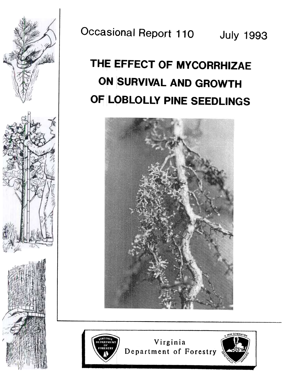

Occasional Report 110 July 1993

# THE EFFECT OF MYCORRHIZAE ON SURVIVAL AND GROWTH OF LOBLOLLY PINE SEEDLINGS





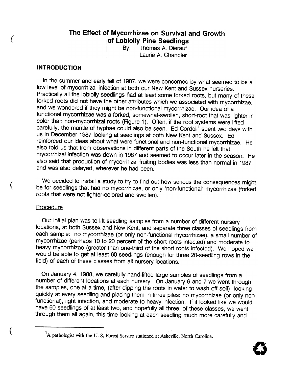## The Effect of Mycorrhizae on Survival and Growth of Loblolly Pine Seedlings

By: Thomas A. Dierauf Laurie A. Chandler

## **INTRODUCTION**

(

In the summer and early fall of 1987, we were concerned by what seemed to be a low level of mycorrhizal infection at both our New Kent and Sussex nurseries. Practically all the loblolly seedlings had at least some forked roots, but many of these forked roots did not have the other attributes which we associated with mycorrhizae, and we wondered if they might be non-functional mycorrhizae. Our idea of a functional mycorrhizae was a forked, somewhat-swollen, short-root that was lighter in color than non-mycorrhizal roots (Figure 1). Often, if the root systems were lifted carefully, the mantle of hyphae could also be seen. Ed Cordell<sup>1</sup> spent two days with us in December 1987 looking at seedlings at both New Kent and Sussex. Ed reinforced our ideas about what were functional and non-functional mycorrhizae. He also told us that from observations in different parts of the South he felt that mycorrhizal infection was down in 1987 and seemed to occur later in the season. He also said that production of mycorrhizal fruiting bodies was less than normal in 1987 and was also delayed, wherever he had been.

We decided to install a study to try to find out how serious the consequences might be for seedlings that had no mycorrhizae, or only "non-functional" mycorrhizae (forked roots that were not lighter-colored and swollen).

### Procedure

Our initial plan was to lift seedling samples from a number of different nursery locations, at both Sussex and New Kent, and separate three classes of seedlings from each sample: no mycorrhizae (or only non-functional mycorrhizae), a small number of mycorrhizae (perhaps 10 to 20 percent of the short roots infected) and moderate to heavy mycorrhizae (greater than one-third of the short roots infected). We hoped we would be able to get at least 60 seedlings (enough for three 20-seedling rows in the field) of each of these classes from all nursery locations.

On January 4, 1988, we carefully hand-Iifted large samples of seedlings from a number of different locations at each nursery. On January 6 and 7 we went through the samples, one at a time, (after dipping the roots in water to wash off soil) looking quickly at every seedling and placing them in three piles: no mycorrhizae (or only nonfunctional), light infection, and moderate to heavy infection. If it looked like we would have 60 seedlings of at least two, and hopefully all three, of these classes, we went through them all again, this time looking at each seedling much more carefully and



 $\left\{ \right.$  <sup>1</sup>A pathologist with the U.S. Forest Service stationed at Asheville, North Carolina.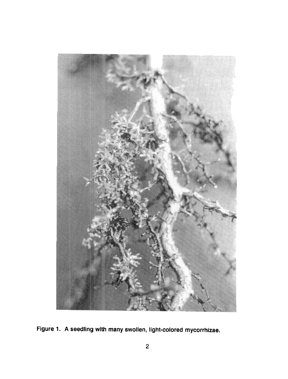

Figure 1. A seedling with many swollen, light-colored mycorrhizae.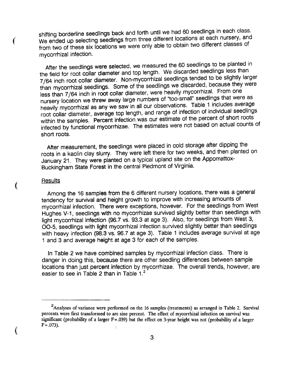shifting borderline seedlings back and forth until we had 60 seedlings in each class. We ended up selecting seedlings from three different locations at each nursery, and from two of these six locations we were only able to obtain two different classes of mycorrhizal infection.

After the seedlings were selected, we measured the 60 seedlings to be planted in the field for root collar diameter and top length. We discarded seedlings less than 7/64 inch root collar diameter. Non-mycorrhizal seedlings tended to be slightly larger than mycorrhizal seedlings. Some of the seedlings we discarded, because they were less than 7/64 inch in root collar diameter, were heavily mycorrhizal. From one nursery location we threw away large numbers of "too-small" seedlings that were as heavily mycorrhizal as any we saw in all our observations. Table 1 includes average root collar diameter, average top length, and range of infection of individual seedlings within the samples. Percent infection was our estimate of the percent of short roots infected by functional mycorrhizae. The estimates were not based on actual counts of short roots.

After measurement, the seedlings were placed in cold storage after dipping the roots in a kaolin clay slurry. They were left there for two weeks, and then planted on January 21. They were planted on a typical upland site on the Appomattox-Buckingham State Forest in the central Piedmont of Virginia.

#### **Results**

 $\left($ 

(

Among the 16 samples from the 6 different nursery locations, there was a general tendency for survival and height growth to improve with increasing amounts of mycorrhizal infection. There were exceptions, however. For the seedlings from West Hughes V-1, seedlings with no mycorrhizae survived slightly better than seedlings with light mycorrhizal infection (96.7 vs. 93.3 at age 3). Also, for seedlings from West 3, 00-5, seedlings with light mycorrhizal infection survived slightly better than seedlings with heavy infection (98.3 vs. 96.7 at age 3). Table 1 includes average survival at age 1 and 3 and average height at age 3 for each of the samples.

In Table 2 we have combined samples by mycorrhizal infection class. There is danger in doing this, because there are other seedling differences between sample locations than just percent infection by mycorrhizae. The overall trends, however, are easier to see in Table 2 than in Table 1.<sup>2</sup>

<sup>&</sup>lt;sup>2</sup>Analyses of variance were performed on the 16 samples (treatments) as arranged in Table 2. Survival percents were first transformed to arc sine percent. The effect of mycorrhizal infection on survival was significant (probability of a larger  $F = .039$ ) but the effect on 3-year height was not (probability of a larger  $F = .073$ ).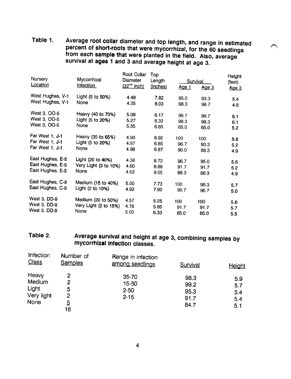Table 1. Average root collar diameter and top length, and range in estimated percent of short-roots that were mycorrhizal, for the 60 seedlings from each sample that were planted in the field. Also, average survival at ages 1 and 3 and average height at age 3.

~

| Nursery                                               | Mycorrhizal           | <b>Root Collar</b><br>Diameter<br>(32 <sup>nd</sup> inch) | Top<br>Length<br>(inches) | <b>Survival</b> |                  | Height<br>(feet) |
|-------------------------------------------------------|-----------------------|-----------------------------------------------------------|---------------------------|-----------------|------------------|------------------|
| Location                                              | Infection             |                                                           |                           | Age 1           | Age <sub>3</sub> | Age 3            |
| West Hughes, V-1<br>West Hughes, V-1                  | Light (5 to 50%)      | 4.48                                                      | 7.82                      | 95.0            | 93.3             | 5.4              |
|                                                       | None                  | 4.35                                                      | 8.03                      | 98.3            | 96.7             | 4.8              |
| West 3, OO-5                                          | Heavy (40 to 70%)     | 5.08                                                      | 6.17                      | 96.7            |                  |                  |
| West 3, OO-5<br>West 3, OO-5                          | Light (5 to 20%)      | 5.27                                                      | 6.33                      |                 | 96.7             | 6.1              |
|                                                       | None                  | 5.35                                                      |                           | 98.3            | 98.3             | 6.1              |
|                                                       |                       |                                                           | 6.65                      | 65.0            | 65.0             | 5.2              |
| Far West 1, J-1<br>Far West 1, J-1<br>Far West 1, J-1 | Heavy (35 to 65%)     | 4.90                                                      | 6.92                      | 100             | 100              | 5.8              |
|                                                       | Light (5 to 20%)      | 4.87                                                      | 6.85                      | 96.7            | 93.3             | 5.2              |
|                                                       | None                  | 4.98                                                      | 6.87                      | 90.0            | 88.3             | 4.9              |
|                                                       |                       |                                                           |                           |                 |                  |                  |
| East Hughes, E-5                                      | Light (20 to 40%)     | 4.38                                                      | 8.72                      | 96.7            | 95.0             | 5.6              |
| East Hughes, E-5<br>East Hughes, E-5                  | Very Light (3 to 10%) | 4.60                                                      | 8.88                      | 91.7            | 91.7             | 5.2              |
|                                                       | None                  | 4.62                                                      | 9.05                      | 88.3            | 88.3             | 4.9              |
| East Hughes, C-8                                      | Medium (15 to 40%)    | 5.00                                                      |                           |                 |                  |                  |
| East Hughes, C-8                                      | Light (2 to 10%)      |                                                           | 7.73                      | 100             | 98.3             | 5.7              |
|                                                       |                       | 4.92                                                      | 7.92                      | 96.7            | 96.7             | 5.0              |
| West 3, DD-9                                          | Medium (20 to 50%)    | 4.57                                                      | 5.25                      | 100             | 100              |                  |
| West 3, DD-9<br>West 3, DD-9                          | Very Light (2 to 15%) | 4.78                                                      | 5.85                      | 91.7            |                  | 5.6              |
|                                                       | None                  | 5.00                                                      |                           |                 | 91.7             | 5.7              |
|                                                       |                       |                                                           | 6.33                      | 85.0            | 85.0             | 5.5              |

## Table 2. Average survival and height at age 3, combining samples by mycorrhizal infection classes.

| Infection<br><b>Class</b>                      | Number of<br><b>Samples</b>              | Range in infection<br>among seedlings      | Survival                             | <b>Height</b>                   |
|------------------------------------------------|------------------------------------------|--------------------------------------------|--------------------------------------|---------------------------------|
| Heavy<br>Medium<br>Light<br>Very light<br>None | 2<br>2<br>5<br>2<br>$\overline{5}$<br>16 | $35 - 70$<br>15-50<br>$2 - 50$<br>$2 - 15$ | 98.3<br>99.2<br>95.3<br>91.7<br>84.7 | 5.9<br>5.7<br>5.4<br>5.4<br>5.1 |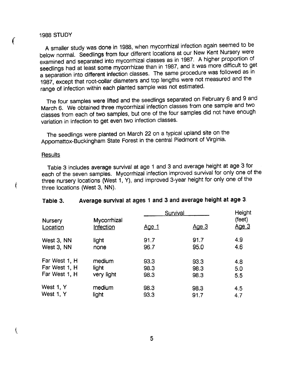## 1988 STUDY

 $\epsilon$ 

ţ

ţ

A smaller study was done in 1988, when mycorrhizal infection again seemed to be below normal. Seedlings from four different locations at our New Kent Nursery were examined and separated into mycorrhizal classes as in 1987. A higher proportion of seedlings had at least some mycorrhizae than in 1987, and it was more difficult to get a separation into different infection classes. The same procedure was followed as in 1987, except that root-collar diameters and top lengths were not measured and the range of infection within each planted sample was not estimated.

The four samples were lifted and the seedlings separated on February 6 and 9 and March 6. We obtained three mycorrhizal infection classes from one sample and two classes from each of two samples, but one of the four samples did not have enough variation in infection to get even two infection classes.

The seedlings were planted on March 22 on a typical upland site on the Appomattox-Buckingham State Forest in the central Piedmont of Virginia.

### **Results**

Table 3 includes average survival at age 1 and 3 and average height at age 3 for each of the seven samples. Mycorrhizal infection improved survival for only one of the three nursery locations (West 1, Y), and improved 3-year height for only one of the three locations (West 3, NN).

| Nursery<br>Location | Mycorrhizal<br>Infection | Survival     | Height       |                        |
|---------------------|--------------------------|--------------|--------------|------------------------|
|                     |                          | <u>Age 1</u> | <u>Age 3</u> | (feet)<br><u>Age 3</u> |
| West 3, NN          | light                    | 91.7         | 91.7         | 4.9                    |
| West 3, NN          | none                     | 96.7         | 95.0         | 4.6                    |
| Far West 1, H       | medium                   | 93.3         | 93.3         | 4.8                    |
| Far West 1, H       | light                    | 98.3         | 98.3         | 5.0                    |
| Far West 1, H       | very light               | 98.3         | 98.3         | 5.5                    |
| West 1, Y           | medium                   | 98.3         | 98.3         | 4.5                    |
| West 1, Y           | light                    | 93.3         | 91.7         | 4.7                    |

## Table 3. Average survival at ages 1 and 3 and average height at age 3.